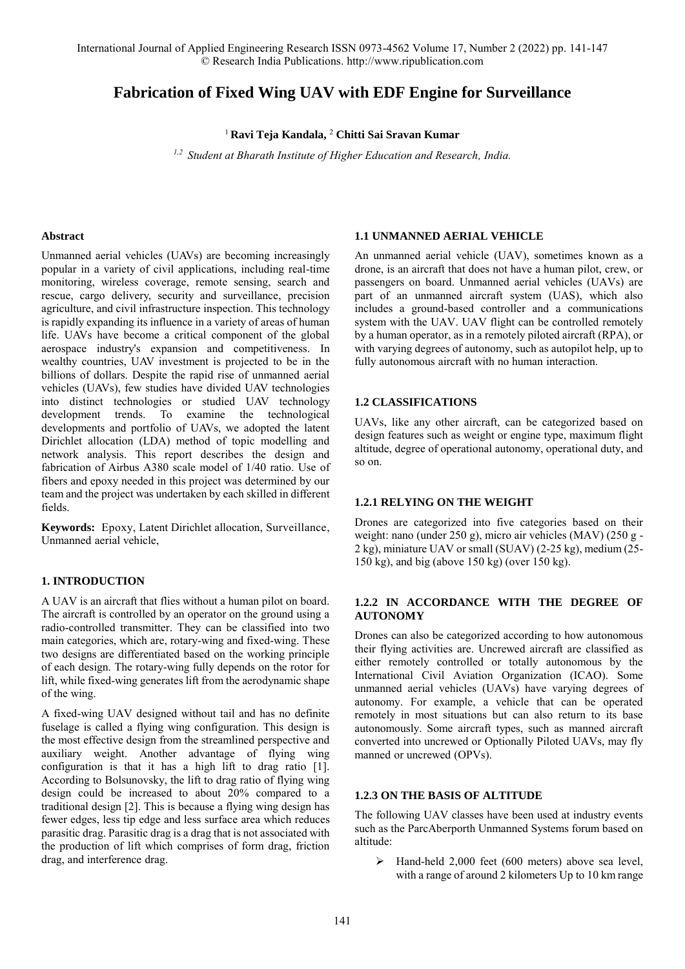International Journal of Applied Engineering Research ISSN 0973-4562 Volume 17, Number 2 (2022) pp. 141-147 © Research India Publications. http://www.ripublication.com

# **Fabrication of Fixed Wing UAV with EDF Engine for Surveillance**

<sup>1</sup> **Ravi Teja Kandala,** <sup>2</sup> **Chitti Sai Sravan Kumar**

*1,2 Student at Bharath Institute of Higher Education and Research, India.* 

#### **Abstract**

Unmanned aerial vehicles (UAVs) are becoming increasingly popular in a variety of civil applications, including real-time monitoring, wireless coverage, remote sensing, search and rescue, cargo delivery, security and surveillance, precision agriculture, and civil infrastructure inspection. This technology is rapidly expanding its influence in a variety of areas of human life. UAVs have become a critical component of the global aerospace industry's expansion and competitiveness. In wealthy countries, UAV investment is projected to be in the billions of dollars. Despite the rapid rise of unmanned aerial vehicles (UAVs), few studies have divided UAV technologies into distinct technologies or studied UAV technology development trends. To examine the technological developments and portfolio of UAVs, we adopted the latent Dirichlet allocation (LDA) method of topic modelling and network analysis. This report describes the design and fabrication of Airbus A380 scale model of 1/40 ratio. Use of fibers and epoxy needed in this project was determined by our team and the project was undertaken by each skilled in different fields.

**Keywords:** Epoxy, Latent Dirichlet allocation, Surveillance, Unmanned aerial vehicle,

#### **1. INTRODUCTION**

A UAV is an aircraft that flies without a human pilot on board. The aircraft is controlled by an operator on the ground using a radio-controlled transmitter. They can be classified into two main categories, which are, rotary-wing and fixed-wing. These two designs are differentiated based on the working principle of each design. The rotary-wing fully depends on the rotor for lift, while fixed-wing generates lift from the aerodynamic shape of the wing.

A fixed-wing UAV designed without tail and has no definite fuselage is called a flying wing configuration. This design is the most effective design from the streamlined perspective and auxiliary weight. Another advantage of flying wing configuration is that it has a high lift to drag ratio [1]. According to Bolsunovsky, the lift to drag ratio of flying wing design could be increased to about 20% compared to a traditional design [2]. This is because a flying wing design has fewer edges, less tip edge and less surface area which reduces parasitic drag. Parasitic drag is a drag that is not associated with the production of lift which comprises of form drag, friction drag, and interference drag.

#### **1.1 UNMANNED AERIAL VEHICLE**

An unmanned aerial vehicle (UAV), sometimes known as a drone, is an aircraft that does not have a human pilot, crew, or passengers on board. Unmanned aerial vehicles (UAVs) are part of an unmanned aircraft system (UAS), which also includes a ground-based controller and a communications system with the UAV. UAV flight can be controlled remotely by a human operator, as in a remotely piloted aircraft (RPA), or with varying degrees of autonomy, such as autopilot help, up to fully autonomous aircraft with no human interaction.

#### **1.2 CLASSIFICATIONS**

UAVs, like any other aircraft, can be categorized based on design features such as weight or engine type, maximum flight altitude, degree of operational autonomy, operational duty, and so on.

#### **1.2.1 RELYING ON THE WEIGHT**

Drones are categorized into five categories based on their weight: nano (under 250 g), micro air vehicles (MAV) (250 g - 2 kg), miniature UAV or small (SUAV) (2-25 kg), medium (25- 150 kg), and big (above 150 kg) (over 150 kg).

#### **1.2.2 IN ACCORDANCE WITH THE DEGREE OF AUTONOMY**

Drones can also be categorized according to how autonomous their flying activities are. Uncrewed aircraft are classified as either remotely controlled or totally autonomous by the International Civil Aviation Organization (ICAO). Some unmanned aerial vehicles (UAVs) have varying degrees of autonomy. For example, a vehicle that can be operated remotely in most situations but can also return to its base autonomously. Some aircraft types, such as manned aircraft converted into uncrewed or Optionally Piloted UAVs, may fly manned or uncrewed (OPVs).

#### **1.2.3 ON THE BASIS OF ALTITUDE**

The following UAV classes have been used at industry events such as the ParcAberporth Unmanned Systems forum based on altitude:

> Hand-held 2,000 feet (600 meters) above sea level, with a range of around 2 kilometers Up to 10 km range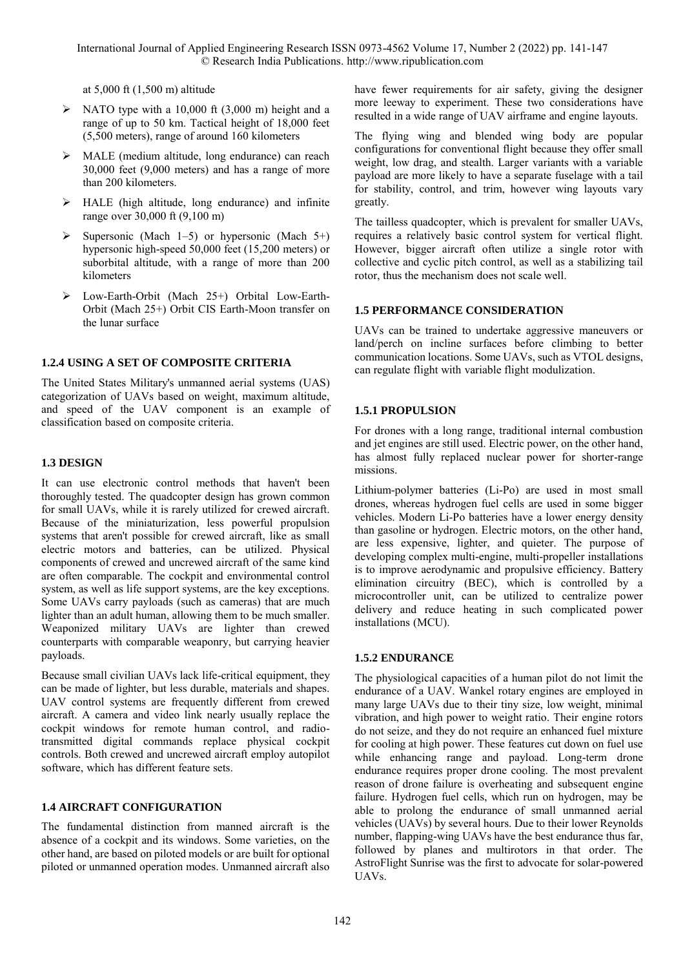at 5,000 ft (1,500 m) altitude

- $\triangleright$  NATO type with a 10,000 ft (3,000 m) height and a range of up to 50 km. Tactical height of 18,000 feet (5,500 meters), range of around 160 kilometers
- MALE (medium altitude, long endurance) can reach 30,000 feet (9,000 meters) and has a range of more than 200 kilometers.
- $\triangleright$  HALE (high altitude, long endurance) and infinite range over 30,000 ft (9,100 m)
- $\triangleright$  Supersonic (Mach 1–5) or hypersonic (Mach 5+) hypersonic high-speed 50,000 feet (15,200 meters) or suborbital altitude, with a range of more than 200 kilometers
- Low-Earth-Orbit (Mach 25+) Orbital Low-Earth-Orbit (Mach 25+) Orbit CIS Earth-Moon transfer on the lunar surface

## **1.2.4 USING A SET OF COMPOSITE CRITERIA**

The United States Military's unmanned aerial systems (UAS) categorization of UAVs based on weight, maximum altitude, and speed of the UAV component is an example of classification based on composite criteria.

## **1.3 DESIGN**

It can use electronic control methods that haven't been thoroughly tested. The quadcopter design has grown common for small UAVs, while it is rarely utilized for crewed aircraft. Because of the miniaturization, less powerful propulsion systems that aren't possible for crewed aircraft, like as small electric motors and batteries, can be utilized. Physical components of crewed and uncrewed aircraft of the same kind are often comparable. The cockpit and environmental control system, as well as life support systems, are the key exceptions. Some UAVs carry payloads (such as cameras) that are much lighter than an adult human, allowing them to be much smaller. Weaponized military UAVs are lighter than crewed counterparts with comparable weaponry, but carrying heavier payloads.

Because small civilian UAVs lack life-critical equipment, they can be made of lighter, but less durable, materials and shapes. UAV control systems are frequently different from crewed aircraft. A camera and video link nearly usually replace the cockpit windows for remote human control, and radiotransmitted digital commands replace physical cockpit controls. Both crewed and uncrewed aircraft employ autopilot software, which has different feature sets.

## **1.4 AIRCRAFT CONFIGURATION**

The fundamental distinction from manned aircraft is the absence of a cockpit and its windows. Some varieties, on the other hand, are based on piloted models or are built for optional piloted or unmanned operation modes. Unmanned aircraft also have fewer requirements for air safety, giving the designer more leeway to experiment. These two considerations have resulted in a wide range of UAV airframe and engine layouts.

The flying wing and blended wing body are popular configurations for conventional flight because they offer small weight, low drag, and stealth. Larger variants with a variable payload are more likely to have a separate fuselage with a tail for stability, control, and trim, however wing layouts vary greatly.

The tailless quadcopter, which is prevalent for smaller UAVs, requires a relatively basic control system for vertical flight. However, bigger aircraft often utilize a single rotor with collective and cyclic pitch control, as well as a stabilizing tail rotor, thus the mechanism does not scale well.

### **1.5 PERFORMANCE CONSIDERATION**

UAVs can be trained to undertake aggressive maneuvers or land/perch on incline surfaces before climbing to better communication locations. Some UAVs, such as VTOL designs, can regulate flight with variable flight modulization.

## **1.5.1 PROPULSION**

For drones with a long range, traditional internal combustion and jet engines are still used. Electric power, on the other hand, has almost fully replaced nuclear power for shorter-range missions.

Lithium-polymer batteries (Li-Po) are used in most small drones, whereas hydrogen fuel cells are used in some bigger vehicles. Modern Li-Po batteries have a lower energy density than gasoline or hydrogen. Electric motors, on the other hand, are less expensive, lighter, and quieter. The purpose of developing complex multi-engine, multi-propeller installations is to improve aerodynamic and propulsive efficiency. Battery elimination circuitry (BEC), which is controlled by a microcontroller unit, can be utilized to centralize power delivery and reduce heating in such complicated power installations (MCU).

## **1.5.2 ENDURANCE**

The physiological capacities of a human pilot do not limit the endurance of a UAV. Wankel rotary engines are employed in many large UAVs due to their tiny size, low weight, minimal vibration, and high power to weight ratio. Their engine rotors do not seize, and they do not require an enhanced fuel mixture for cooling at high power. These features cut down on fuel use while enhancing range and payload. Long-term drone endurance requires proper drone cooling. The most prevalent reason of drone failure is overheating and subsequent engine failure. Hydrogen fuel cells, which run on hydrogen, may be able to prolong the endurance of small unmanned aerial vehicles (UAVs) by several hours. Due to their lower Reynolds number, flapping-wing UAVs have the best endurance thus far, followed by planes and multirotors in that order. The AstroFlight Sunrise was the first to advocate for solar-powered UAVs.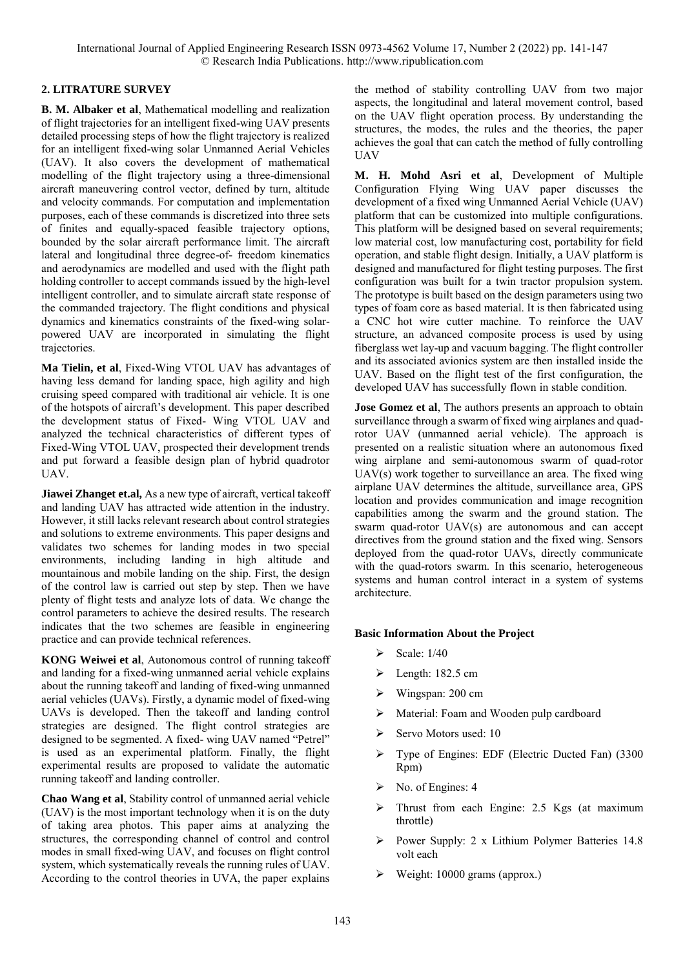## **2. LITRATURE SURVEY**

**B. M. Albaker et al**, Mathematical modelling and realization of flight trajectories for an intelligent fixed-wing UAV presents detailed processing steps of how the flight trajectory is realized for an intelligent fixed-wing solar Unmanned Aerial Vehicles (UAV). It also covers the development of mathematical modelling of the flight trajectory using a three-dimensional aircraft maneuvering control vector, defined by turn, altitude and velocity commands. For computation and implementation purposes, each of these commands is discretized into three sets of finites and equally-spaced feasible trajectory options, bounded by the solar aircraft performance limit. The aircraft lateral and longitudinal three degree-of- freedom kinematics and aerodynamics are modelled and used with the flight path holding controller to accept commands issued by the high-level intelligent controller, and to simulate aircraft state response of the commanded trajectory. The flight conditions and physical dynamics and kinematics constraints of the fixed-wing solarpowered UAV are incorporated in simulating the flight trajectories.

**Ma Tielin, et al**, Fixed-Wing VTOL UAV has advantages of having less demand for landing space, high agility and high cruising speed compared with traditional air vehicle. It is one of the hotspots of aircraft's development. This paper described the development status of Fixed- Wing VTOL UAV and analyzed the technical characteristics of different types of Fixed-Wing VTOL UAV, prospected their development trends and put forward a feasible design plan of hybrid quadrotor UAV.

**Jiawei Zhanget et.al,** As a new type of aircraft, vertical takeoff and landing UAV has attracted wide attention in the industry. However, it still lacks relevant research about control strategies and solutions to extreme environments. This paper designs and validates two schemes for landing modes in two special environments, including landing in high altitude and mountainous and mobile landing on the ship. First, the design of the control law is carried out step by step. Then we have plenty of flight tests and analyze lots of data. We change the control parameters to achieve the desired results. The research indicates that the two schemes are feasible in engineering practice and can provide technical references.

**KONG Weiwei et al**, Autonomous control of running takeoff and landing for a fixed-wing unmanned aerial vehicle explains about the running takeoff and landing of fixed-wing unmanned aerial vehicles (UAVs). Firstly, a dynamic model of fixed-wing UAVs is developed. Then the takeoff and landing control strategies are designed. The flight control strategies are designed to be segmented. A fixed- wing UAV named "Petrel" is used as an experimental platform. Finally, the flight experimental results are proposed to validate the automatic running takeoff and landing controller.

**Chao Wang et al**, Stability control of unmanned aerial vehicle (UAV) is the most important technology when it is on the duty of taking area photos. This paper aims at analyzing the structures, the corresponding channel of control and control modes in small fixed-wing UAV, and focuses on flight control system, which systematically reveals the running rules of UAV. According to the control theories in UVA, the paper explains

the method of stability controlling UAV from two major aspects, the longitudinal and lateral movement control, based on the UAV flight operation process. By understanding the structures, the modes, the rules and the theories, the paper achieves the goal that can catch the method of fully controlling UAV

**M. H. Mohd Asri et al**, Development of Multiple Configuration Flying Wing UAV paper discusses the development of a fixed wing Unmanned Aerial Vehicle (UAV) platform that can be customized into multiple configurations. This platform will be designed based on several requirements; low material cost, low manufacturing cost, portability for field operation, and stable flight design. Initially, a UAV platform is designed and manufactured for flight testing purposes. The first configuration was built for a twin tractor propulsion system. The prototype is built based on the design parameters using two types of foam core as based material. It is then fabricated using a CNC hot wire cutter machine. To reinforce the UAV structure, an advanced composite process is used by using fiberglass wet lay-up and vacuum bagging. The flight controller and its associated avionics system are then installed inside the UAV. Based on the flight test of the first configuration, the developed UAV has successfully flown in stable condition.

**Jose Gomez et al**, The authors presents an approach to obtain surveillance through a swarm of fixed wing airplanes and quadrotor UAV (unmanned aerial vehicle). The approach is presented on a realistic situation where an autonomous fixed wing airplane and semi-autonomous swarm of quad-rotor UAV(s) work together to surveillance an area. The fixed wing airplane UAV determines the altitude, surveillance area, GPS location and provides communication and image recognition capabilities among the swarm and the ground station. The swarm quad-rotor UAV(s) are autonomous and can accept directives from the ground station and the fixed wing. Sensors deployed from the quad-rotor UAVs, directly communicate with the quad-rotors swarm. In this scenario, heterogeneous systems and human control interact in a system of systems architecture.

#### **Basic Information About the Project**

- $\triangleright$  Scale: 1/40
- $\blacktriangleright$  Length: 182.5 cm
- Wingspan: 200 cm
- Material: Foam and Wooden pulp cardboard
- $\triangleright$  Servo Motors used: 10
- Type of Engines: EDF (Electric Ducted Fan) (3300 Rpm)
- $\triangleright$  No. of Engines: 4
- Thrust from each Engine: 2.5 Kgs (at maximum throttle)
- Power Supply: 2 x Lithium Polymer Batteries 14.8 volt each
- Weight: 10000 grams (approx.)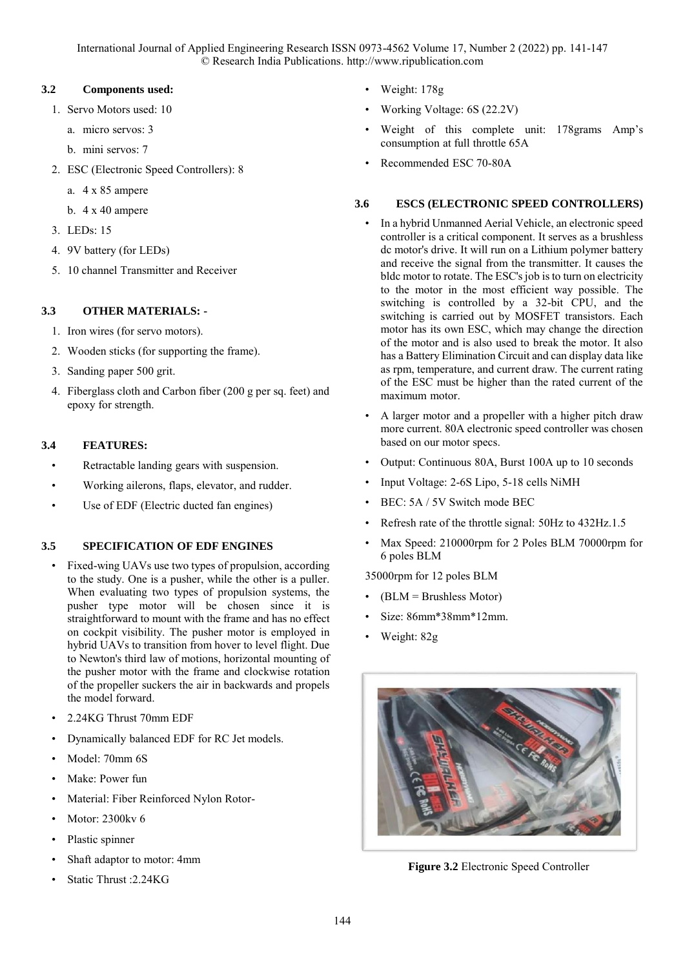International Journal of Applied Engineering Research ISSN 0973-4562 Volume 17, Number 2 (2022) pp. 141-147 © Research India Publications. http://www.ripublication.com

#### **3.2 Components used:**

- 1. Servo Motors used: 10
	- a. micro servos: 3
	- b. mini servos: 7
- 2. ESC (Electronic Speed Controllers): 8
	- a. 4 x 85 ampere
	- b. 4 x 40 ampere
- 3. LEDs: 15
- 4. 9V battery (for LEDs)
- 5. 10 channel Transmitter and Receiver

# **3.3 OTHER MATERIALS: -**

- 1. Iron wires (for servo motors).
- 2. Wooden sticks (for supporting the frame).
- 3. Sanding paper 500 grit.
- 4. Fiberglass cloth and Carbon fiber (200 g per sq. feet) and epoxy for strength.

### **3.4 FEATURES:**

- Retractable landing gears with suspension.
- Working ailerons, flaps, elevator, and rudder.
- Use of EDF (Electric ducted fan engines)

## **3.5 SPECIFICATION OF EDF ENGINES**

- Fixed-wing UAVs use two types of propulsion, according to the study. One is a pusher, while the other is a puller. When evaluating two types of propulsion systems, the pusher type motor will be chosen since it is straightforward to mount with the frame and has no effect on cockpit visibility. The pusher motor is employed in hybrid UAVs to transition from hover to level flight. Due to Newton's third law of motions, horizontal mounting of the pusher motor with the frame and clockwise rotation of the propeller suckers the air in backwards and propels the model forward.
- 2.24KG Thrust 70mm EDF
- Dynamically balanced EDF for RC Jet models.
- Model: 70mm 6S
- Make: Power fun
- Material: Fiber Reinforced Nylon Rotor-
- Motor: 2300kv 6
- Plastic spinner
- Shaft adaptor to motor: 4mm
- Static Thrust :2.24KG
- Weight: 178g
- Working Voltage: 6S (22.2V)
- Weight of this complete unit: 178grams Amp's consumption at full throttle 65A
- Recommended ESC 70-80A

#### **3.6 ESCS (ELECTRONIC SPEED CONTROLLERS)**

- In a hybrid Unmanned Aerial Vehicle, an electronic speed controller is a critical component. It serves as a brushless dc motor's drive. It will run on a Lithium polymer battery and receive the signal from the transmitter. It causes the bldc motor to rotate. The ESC's job is to turn on electricity to the motor in the most efficient way possible. The switching is controlled by a 32-bit CPU, and the switching is carried out by MOSFET transistors. Each motor has its own ESC, which may change the direction of the motor and is also used to break the motor. It also has a Battery Elimination Circuit and can display data like as rpm, temperature, and current draw. The current rating of the ESC must be higher than the rated current of the maximum motor.
- A larger motor and a propeller with a higher pitch draw more current. 80A electronic speed controller was chosen based on our motor specs.
- Output: Continuous 80A, Burst 100A up to 10 seconds
- Input Voltage: 2-6S Lipo, 5-18 cells NiMH
- BEC: 5A / 5V Switch mode BEC
- Refresh rate of the throttle signal: 50Hz to 432Hz.1.5
- Max Speed: 210000rpm for 2 Poles BLM 70000rpm for 6 poles BLM

35000rpm for 12 poles BLM

- (BLM = Brushless Motor)
- Size: 86mm\*38mm\*12mm.
- Weight: 82g



**Figure 3.2** Electronic Speed Controller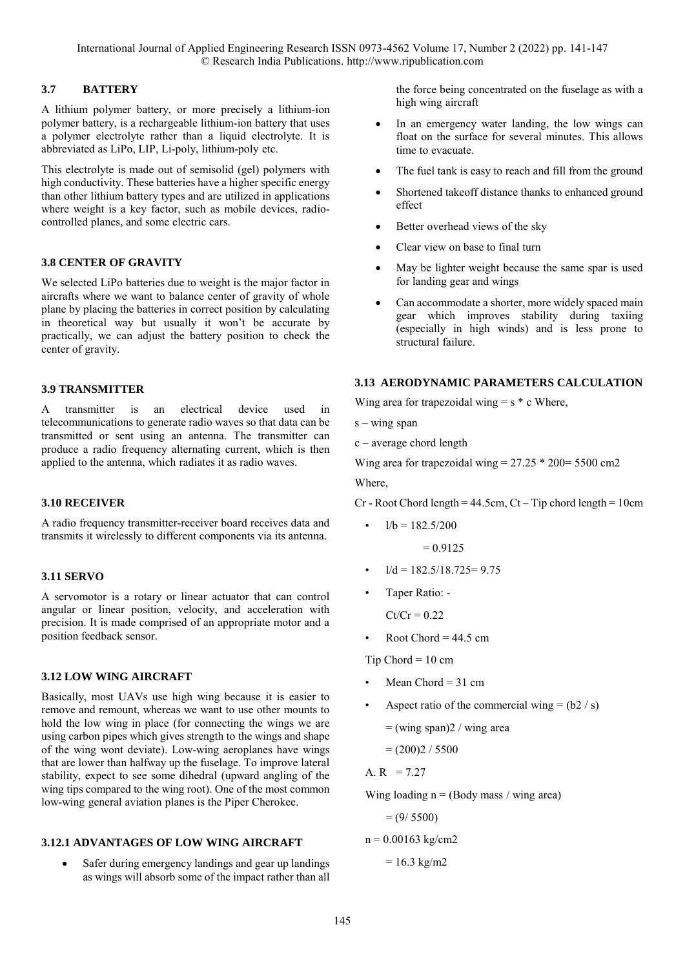## **3.7 BATTERY**

A lithium polymer battery, or more precisely a lithium-ion polymer battery, is a rechargeable lithium-ion battery that uses a polymer electrolyte rather than a liquid electrolyte. It is abbreviated as LiPo, LIP, Li-poly, lithium-poly etc.

This electrolyte is made out of semisolid (gel) polymers with high conductivity. These batteries have a higher specific energy than other lithium battery types and are utilized in applications where weight is a key factor, such as mobile devices, radiocontrolled planes, and some electric cars.

## **3.8 CENTER OF GRAVITY**

We selected LiPo batteries due to weight is the major factor in aircrafts where we want to balance center of gravity of whole plane by placing the batteries in correct position by calculating in theoretical way but usually it won't be accurate by practically, we can adjust the battery position to check the center of gravity.

## **3.9 TRANSMITTER**

A transmitter is an electrical device used in telecommunications to generate radio waves so that data can be transmitted or sent using an antenna. The transmitter can produce a radio frequency alternating current, which is then applied to the antenna, which radiates it as radio waves.

## **3.10 RECEIVER**

A radio frequency transmitter-receiver board receives data and transmits it wirelessly to different components via its antenna.

## **3.11 SERVO**

A servomotor is a rotary or linear actuator that can control angular or linear position, velocity, and acceleration with precision. It is made comprised of an appropriate motor and a position feedback sensor.

# **3.12 LOW WING AIRCRAFT**

Basically, most UAVs use high wing because it is easier to remove and remount, whereas we want to use other mounts to hold the low wing in place (for connecting the wings we are using carbon pipes which gives strength to the wings and shape of the wing wont deviate). Low-wing aeroplanes have wings that are lower than halfway up the fuselage. To improve lateral stability, expect to see some dihedral (upward angling of the wing tips compared to the wing root). One of the most common low-wing general aviation planes is the Piper Cherokee.

## **3.12.1 ADVANTAGES OF LOW WING AIRCRAFT**

 Safer during emergency landings and gear up landings as wings will absorb some of the impact rather than all

the force being concentrated on the fuselage as with a high wing aircraft

- In an emergency water landing, the low wings can float on the surface for several minutes. This allows time to evacuate.
- The fuel tank is easy to reach and fill from the ground
- Shortened takeoff distance thanks to enhanced ground effect
- Better overhead views of the sky
- Clear view on base to final turn
- May be lighter weight because the same spar is used for landing gear and wings
- Can accommodate a shorter, more widely spaced main gear which improves stability during taxiing (especially in high winds) and is less prone to structural failure.

## **3.13 AERODYNAMIC PARAMETERS CALCULATION**

Wing area for trapezoidal wing  $= s * c$  Where,

- $s wing span$
- c average chord length

Wing area for trapezoidal wing =  $27.25 * 200 = 5500$  cm<sup>2</sup>

Where,

 $Cr$  - Root Chord length = 44.5cm,  $Ct$  – Tip chord length = 10cm

 $1/b = 182.5/200$ 

$$
= 0.9125
$$

- $1/d = 182.5/18.725 = 9.75$
- Taper Ratio: -

 $Ct/Cr = 0.22$ 

Root Chord =  $44.5 \text{ cm}$ 

Tip Chord =  $10 \text{ cm}$ 

- Mean Chord  $= 31$  cm
- Aspect ratio of the commercial wing  $= (b2 / s)$ 
	- $=$  (wing span)2 / wing area
	- $=(200)2 / 5500$

A.  $R = 7.27$ 

Wing loading  $n = (Body mass / wing area)$ 

 $= (9/ 5500)$ 

 $n = 0.00163$  kg/cm2

 $= 16.3$  kg/m2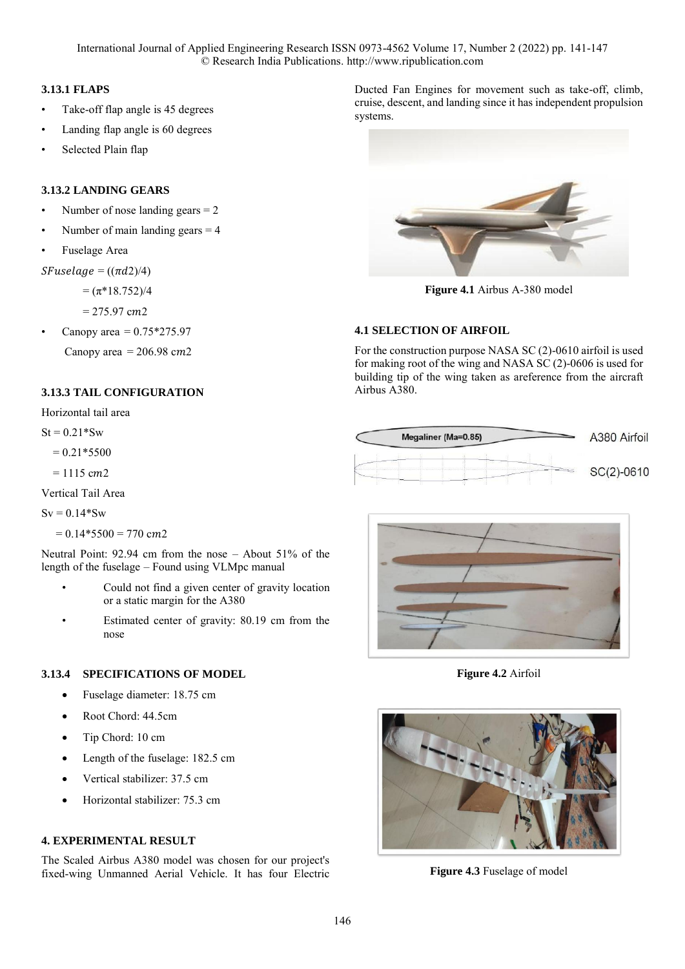International Journal of Applied Engineering Research ISSN 0973-4562 Volume 17, Number 2 (2022) pp. 141-147 © Research India Publications. http://www.ripublication.com

#### **3.13.1 FLAPS**

- Take-off flap angle is 45 degrees
- Landing flap angle is 60 degrees
- Selected Plain flap

### **3.13.2 LANDING GEARS**

- Number of nose landing gears  $= 2$
- Number of main landing gears  $= 4$
- Fuselage Area

 $SFuselage = ((\pi d2)/4)$ 

 $= (\pi*18.752)/4$ 

 $= 275.97$  cm2

Canopy area =  $0.75*275.97$ 

Canopy area =  $206.98$  cm2

## **3.13.3 TAIL CONFIGURATION**

Horizontal tail area

 $St = 0.21*Sw$ 

 $= 0.21*5500$ 

 $= 1115$  cm2

Vertical Tail Area

 $Sv = 0.14*Sw$ 

 $= 0.14*5500 = 770$  cm2

Neutral Point: 92.94 cm from the nose – About 51% of the length of the fuselage – Found using VLMpc manual

- Could not find a given center of gravity location or a static margin for the A380
- Estimated center of gravity: 80.19 cm from the nose

#### **3.13.4 SPECIFICATIONS OF MODEL**

- Fuselage diameter: 18.75 cm
- Root Chord: 44.5cm
- Tip Chord: 10 cm
- Length of the fuselage: 182.5 cm
- Vertical stabilizer: 37.5 cm
- Horizontal stabilizer: 75.3 cm

### **4. EXPERIMENTAL RESULT**

The Scaled Airbus A380 model was chosen for our project's fixed-wing Unmanned Aerial Vehicle. It has four Electric Ducted Fan Engines for movement such as take-off, climb, cruise, descent, and landing since it has independent propulsion systems.



**Figure 4.1** Airbus A-380 model

### **4.1 SELECTION OF AIRFOIL**

For the construction purpose NASA SC (2)-0610 airfoil is used for making root of the wing and NASA SC (2)-0606 is used for building tip of the wing taken as areference from the aircraft Airbus A380.





**Figure 4.2** Airfoil



**Figure 4.3** Fuselage of model